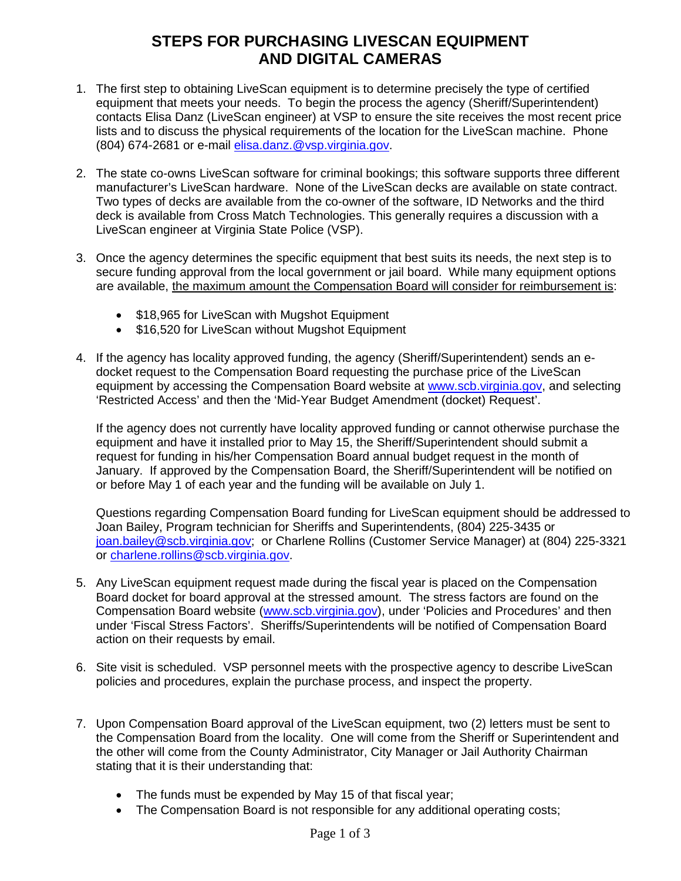## **STEPS FOR PURCHASING LIVESCAN EQUIPMENT AND DIGITAL CAMERAS**

- 1. The first step to obtaining LiveScan equipment is to determine precisely the type of certified equipment that meets your needs. To begin the process the agency (Sheriff/Superintendent) contacts Elisa Danz (LiveScan engineer) at VSP to ensure the site receives the most recent price lists and to discuss the physical requirements of the location for the LiveScan machine. Phone (804) 674-2681 or e-mail [elisa.danz.@vsp.virginia.gov.](mailto:elisa.danz.@vsp.virginia.gov)
- 2. The state co-owns LiveScan software for criminal bookings; this software supports three different manufacturer's LiveScan hardware. None of the LiveScan decks are available on state contract. Two types of decks are available from the co-owner of the software, ID Networks and the third deck is available from Cross Match Technologies. This generally requires a discussion with a LiveScan engineer at Virginia State Police (VSP).
- 3. Once the agency determines the specific equipment that best suits its needs, the next step is to secure funding approval from the local government or jail board. While many equipment options are available, the maximum amount the Compensation Board will consider for reimbursement is:
	- \$18,965 for LiveScan with Mugshot Equipment
	- \$16,520 for LiveScan without Mugshot Equipment
- 4. If the agency has locality approved funding, the agency (Sheriff/Superintendent) sends an edocket request to the Compensation Board requesting the purchase price of the LiveScan equipment by accessing the Compensation Board website at [www.scb.virginia.gov,](http://www.scb.virginia.gov/) and selecting 'Restricted Access' and then the 'Mid-Year Budget Amendment (docket) Request'.

If the agency does not currently have locality approved funding or cannot otherwise purchase the equipment and have it installed prior to May 15, the Sheriff/Superintendent should submit a request for funding in his/her Compensation Board annual budget request in the month of January. If approved by the Compensation Board, the Sheriff/Superintendent will be notified on or before May 1 of each year and the funding will be available on July 1.

Questions regarding Compensation Board funding for LiveScan equipment should be addressed to Joan Bailey, Program technician for Sheriffs and Superintendents, (804) 225-3435 or [joan.bailey@scb.virginia.gov;](mailto:joan.bailey@scb.virginia.gov) or Charlene Rollins (Customer Service Manager) at (804) 225-3321 or [charlene.rollins@scb.virginia.gov.](mailto:charlene.rollins@scb.virginia.gov)

- 5. Any LiveScan equipment request made during the fiscal year is placed on the Compensation Board docket for board approval at the stressed amount. The stress factors are found on the Compensation Board website [\(www.scb.virginia.gov\)](http://www.scb.virginia.gov/), under 'Policies and Procedures' and then under 'Fiscal Stress Factors'. Sheriffs/Superintendents will be notified of Compensation Board action on their requests by email.
- 6. Site visit is scheduled. VSP personnel meets with the prospective agency to describe LiveScan policies and procedures, explain the purchase process, and inspect the property.
- 7. Upon Compensation Board approval of the LiveScan equipment, two (2) letters must be sent to the Compensation Board from the locality. One will come from the Sheriff or Superintendent and the other will come from the County Administrator, City Manager or Jail Authority Chairman stating that it is their understanding that:
	- The funds must be expended by May 15 of that fiscal year;
	- The Compensation Board is not responsible for any additional operating costs;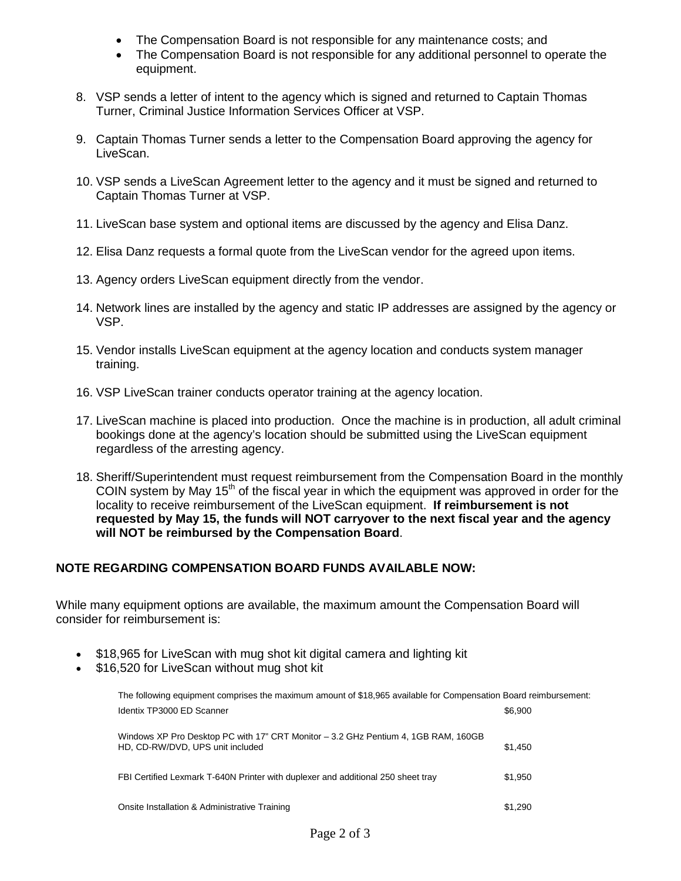- The Compensation Board is not responsible for any maintenance costs; and
- The Compensation Board is not responsible for any additional personnel to operate the equipment.
- 8. VSP sends a letter of intent to the agency which is signed and returned to Captain Thomas Turner, Criminal Justice Information Services Officer at VSP.
- 9. Captain Thomas Turner sends a letter to the Compensation Board approving the agency for LiveScan.
- 10. VSP sends a LiveScan Agreement letter to the agency and it must be signed and returned to Captain Thomas Turner at VSP.
- 11. LiveScan base system and optional items are discussed by the agency and Elisa Danz.
- 12. Elisa Danz requests a formal quote from the LiveScan vendor for the agreed upon items.
- 13. Agency orders LiveScan equipment directly from the vendor.
- 14. Network lines are installed by the agency and static IP addresses are assigned by the agency or VSP.
- 15. Vendor installs LiveScan equipment at the agency location and conducts system manager training.
- 16. VSP LiveScan trainer conducts operator training at the agency location.
- 17. LiveScan machine is placed into production. Once the machine is in production, all adult criminal bookings done at the agency's location should be submitted using the LiveScan equipment regardless of the arresting agency.
- 18. Sheriff/Superintendent must request reimbursement from the Compensation Board in the monthly COIN system by May  $15<sup>th</sup>$  of the fiscal year in which the equipment was approved in order for the locality to receive reimbursement of the LiveScan equipment. **If reimbursement is not requested by May 15, the funds will NOT carryover to the next fiscal year and the agency will NOT be reimbursed by the Compensation Board**.

## **NOTE REGARDING COMPENSATION BOARD FUNDS AVAILABLE NOW:**

While many equipment options are available, the maximum amount the Compensation Board will consider for reimbursement is:

- \$18,965 for LiveScan with mug shot kit digital camera and lighting kit
- \$16,520 for LiveScan without mug shot kit

| The following equipment comprises the maximum amount of \$18,965 available for Compensation Board reimbursement:       |         |
|------------------------------------------------------------------------------------------------------------------------|---------|
| Identix TP3000 ED Scanner                                                                                              | \$6,900 |
| Windows XP Pro Desktop PC with 17" CRT Monitor - 3.2 GHz Pentium 4, 1GB RAM, 160GB<br>HD, CD-RW/DVD, UPS unit included | \$1.450 |
| FBI Certified Lexmark T-640N Printer with duplexer and additional 250 sheet tray                                       | \$1,950 |
| Onsite Installation & Administrative Training                                                                          | \$1.290 |